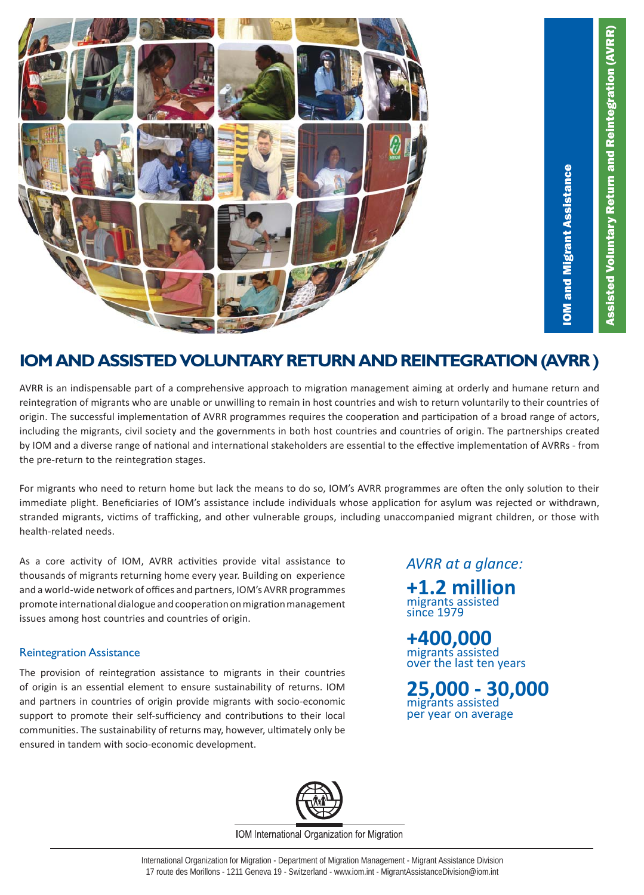

# IOM and Migrant Assistance **OM and Migrant Assistance**

### **IOM AND ASSISTED VOLUNTARY RETURN AND REINTEGRATION (AVRR )**

AVRR is an indispensable part of a comprehensive approach to migration management aiming at orderly and humane return and reintegration of migrants who are unable or unwilling to remain in host countries and wish to return voluntarily to their countries of origin. The successful implementation of AVRR programmes requires the cooperation and participation of a broad range of actors, including the migrants, civil society and the governments in both host countries and countries of origin. The partnerships created by IOM and a diverse range of national and international stakeholders are essential to the effective implementation of AVRRs - from the pre-return to the reintegration stages.

For migrants who need to return home but lack the means to do so, IOM's AVRR programmes are often the only solution to their immediate plight. Beneficiaries of IOM's assistance include individuals whose application for asylum was rejected or withdrawn, stranded migrants, victims of trafficking, and other vulnerable groups, including unaccompanied migrant children, or those with health-related needs.

As a core activity of IOM, AVRR activities provide vital assistance to thousands of migrants returning home every year. Building on experience and a world-wide network of offices and partners, IOM's AVRR programmes promote international dialogue and cooperation on migration management issues among host countries and countries of origin.

#### Reintegration Assistance

The provision of reintegration assistance to migrants in their countries of origin is an essential element to ensure sustainability of returns. IOM and partners in countries of origin provide migrants with socio-economic support to promote their self-sufficiency and contributions to their local communities. The sustainability of returns may, however, ultimately only be ensured in tandem with socio-economic development.

*AVRR at a glance:*

**+1.2 million** migrants assisted since 1979

**+400,000** migrants assisted over the last ten years

**25,000 - 30,000** migrants assisted per year on average



IOM International Organization for Migration